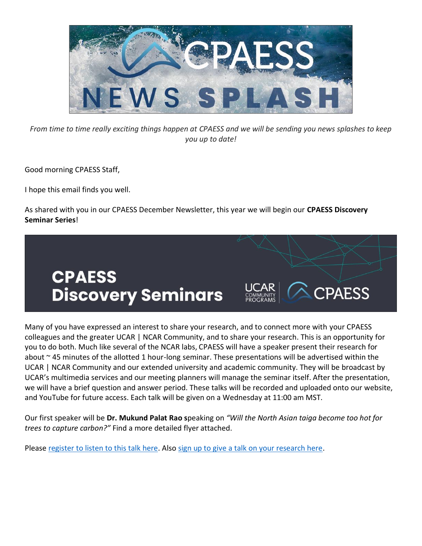

*From time to time really exciting things happen at CPAESS and we will be sending you news splashes to keep you up to date!*

Good morning CPAESS Staff,

I hope this email finds you well.

As shared with you in our CPAESS December Newsletter, this year we will begin our **CPAESS Discovery Seminar Series**!



Many of you have expressed an interest to share your research, and to connect more with your CPAESS colleagues and the greater UCAR | NCAR Community, and to share your research. This is an opportunity for you to do both. Much like several of the NCAR labs, CPAESS will have a speaker present their research for about ~45 minutes of the allotted 1 hour-long seminar. These presentations will be advertised within the UCAR | NCAR Community and our extended university and academic community. They will be broadcast by UCAR's multimedia services and our meeting planners will manage the seminar itself. After the presentation, we will have a brief question and answer period. These talks will be recorded and uploaded onto our website, and YouTube for future access. Each talk will be given on a Wednesday at 11:00 am MST.

Our first speaker will be **Dr. Mukund Palat Rao s**peaking on *"Will the North Asian taiga become too hot for trees to capture carbon?"* Find a more detailed flyer attached.

Please [register to listen to this talk here.](https://docs.google.com/forms/d/1MPkb4tFlRb4wVl-idbu3Q3aKWadu4EIKQ_tOH_v4zGA) Also [sign up to give a talk on your research here.](https://docs.google.com/spreadsheets/d/1ZTpL0fIDXAA5_PjnUiLSYBAWge-vuYyDTxUl6G-UbgI/edit?usp=sharing)